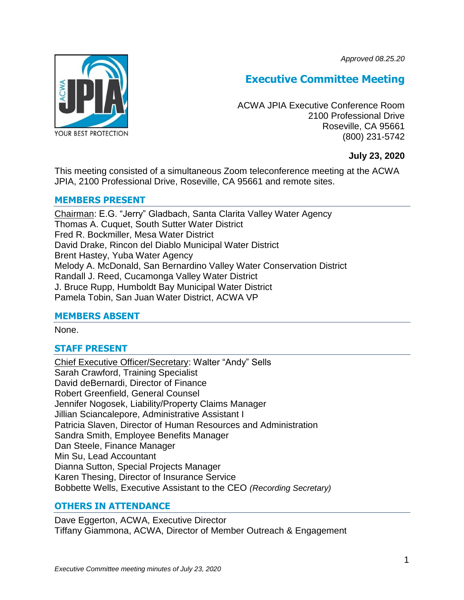*Approved 08.25.20*



# **Executive Committee Meeting**

ACWA JPIA Executive Conference Room 2100 Professional Drive Roseville, CA 95661 (800) 231-5742

# **July 23, 2020**

This meeting consisted of a simultaneous Zoom teleconference meeting at the ACWA JPIA, 2100 Professional Drive, Roseville, CA 95661 and remote sites.

# **MEMBERS PRESENT**

Chairman: E.G. "Jerry" Gladbach, Santa Clarita Valley Water Agency Thomas A. Cuquet, South Sutter Water District Fred R. Bockmiller, Mesa Water District David Drake, Rincon del Diablo Municipal Water District Brent Hastey, Yuba Water Agency Melody A. McDonald, San Bernardino Valley Water Conservation District Randall J. Reed, Cucamonga Valley Water District J. Bruce Rupp, Humboldt Bay Municipal Water District Pamela Tobin, San Juan Water District, ACWA VP

# **MEMBERS ABSENT**

None.

# **STAFF PRESENT**

Chief Executive Officer/Secretary: Walter "Andy" Sells Sarah Crawford, Training Specialist David deBernardi, Director of Finance Robert Greenfield, General Counsel Jennifer Nogosek, Liability/Property Claims Manager Jillian Sciancalepore, Administrative Assistant I Patricia Slaven, Director of Human Resources and Administration Sandra Smith, Employee Benefits Manager Dan Steele, Finance Manager Min Su, Lead Accountant Dianna Sutton, Special Projects Manager Karen Thesing, Director of Insurance Service Bobbette Wells, Executive Assistant to the CEO *(Recording Secretary)*

# **OTHERS IN ATTENDANCE**

Dave Eggerton, ACWA, Executive Director Tiffany Giammona, ACWA, Director of Member Outreach & Engagement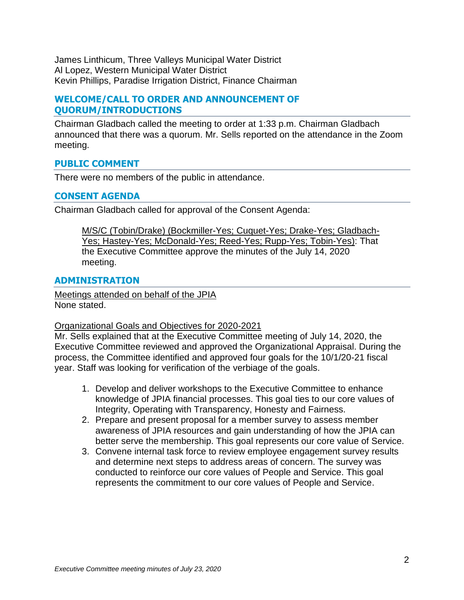James Linthicum, Three Valleys Municipal Water District Al Lopez, Western Municipal Water District Kevin Phillips, Paradise Irrigation District, Finance Chairman

## **WELCOME/CALL TO ORDER AND ANNOUNCEMENT OF QUORUM/INTRODUCTIONS**

Chairman Gladbach called the meeting to order at 1:33 p.m. Chairman Gladbach announced that there was a quorum. Mr. Sells reported on the attendance in the Zoom meeting.

## **PUBLIC COMMENT**

There were no members of the public in attendance.

## **CONSENT AGENDA**

Chairman Gladbach called for approval of the Consent Agenda:

M/S/C (Tobin/Drake) (Bockmiller-Yes; Cuquet-Yes; Drake-Yes; Gladbach-Yes; Hastey-Yes; McDonald-Yes; Reed-Yes; Rupp-Yes; Tobin-Yes): That the Executive Committee approve the minutes of the July 14, 2020 meeting.

#### **ADMINISTRATION**

Meetings attended on behalf of the JPIA None stated.

#### Organizational Goals and Objectives for 2020-2021

Mr. Sells explained that at the Executive Committee meeting of July 14, 2020, the Executive Committee reviewed and approved the Organizational Appraisal. During the process, the Committee identified and approved four goals for the 10/1/20-21 fiscal year. Staff was looking for verification of the verbiage of the goals.

- 1. Develop and deliver workshops to the Executive Committee to enhance knowledge of JPIA financial processes. This goal ties to our core values of Integrity, Operating with Transparency, Honesty and Fairness.
- 2. Prepare and present proposal for a member survey to assess member awareness of JPIA resources and gain understanding of how the JPIA can better serve the membership. This goal represents our core value of Service.
- 3. Convene internal task force to review employee engagement survey results and determine next steps to address areas of concern. The survey was conducted to reinforce our core values of People and Service. This goal represents the commitment to our core values of People and Service.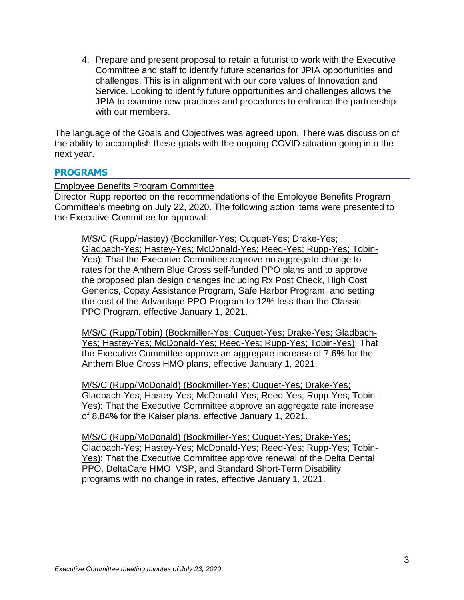4. Prepare and present proposal to retain a futurist to work with the Executive Committee and staff to identify future scenarios for JPIA opportunities and challenges. This is in alignment with our core values of Innovation and Service. Looking to identify future opportunities and challenges allows the JPIA to examine new practices and procedures to enhance the partnership with our members.

The language of the Goals and Objectives was agreed upon. There was discussion of the ability to accomplish these goals with the ongoing COVID situation going into the next year.

#### **PROGRAMS**

#### Employee Benefits Program Committee

Director Rupp reported on the recommendations of the Employee Benefits Program Committee's meeting on July 22, 2020. The following action items were presented to the Executive Committee for approval:

M/S/C (Rupp/Hastey) (Bockmiller-Yes; Cuquet-Yes; Drake-Yes; Gladbach-Yes; Hastey-Yes; McDonald-Yes; Reed-Yes; Rupp-Yes; Tobin-Yes): That the Executive Committee approve no aggregate change to rates for the Anthem Blue Cross self-funded PPO plans and to approve the proposed plan design changes including Rx Post Check, High Cost Generics, Copay Assistance Program, Safe Harbor Program, and setting the cost of the Advantage PPO Program to 12% less than the Classic PPO Program, effective January 1, 2021.

M/S/C (Rupp/Tobin) (Bockmiller-Yes; Cuquet-Yes; Drake-Yes; Gladbach-Yes; Hastey-Yes; McDonald-Yes; Reed-Yes; Rupp-Yes; Tobin-Yes): That the Executive Committee approve an aggregate increase of 7.6**%** for the Anthem Blue Cross HMO plans, effective January 1, 2021.

M/S/C (Rupp/McDonald) (Bockmiller-Yes; Cuquet-Yes; Drake-Yes; Gladbach-Yes; Hastey-Yes; McDonald-Yes; Reed-Yes; Rupp-Yes; Tobin-Yes): That the Executive Committee approve an aggregate rate increase of 8.84**%** for the Kaiser plans, effective January 1, 2021.

M/S/C (Rupp/McDonald) (Bockmiller-Yes; Cuquet-Yes; Drake-Yes; Gladbach-Yes; Hastey-Yes; McDonald-Yes; Reed-Yes; Rupp-Yes; Tobin-Yes): That the Executive Committee approve renewal of the Delta Dental PPO, DeltaCare HMO, VSP, and Standard Short-Term Disability programs with no change in rates, effective January 1, 2021.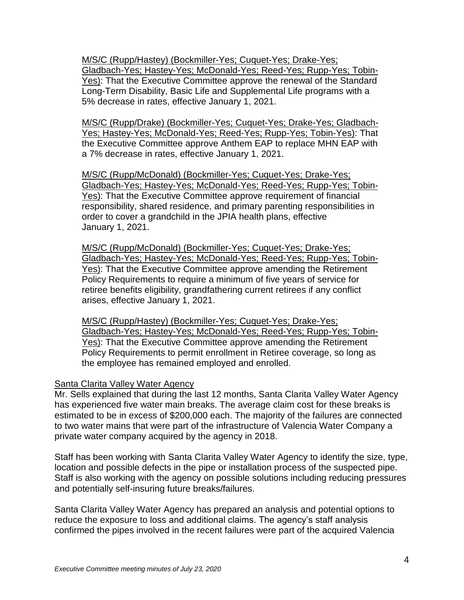M/S/C (Rupp/Hastey) (Bockmiller-Yes; Cuquet-Yes; Drake-Yes; Gladbach-Yes; Hastey-Yes; McDonald-Yes; Reed-Yes; Rupp-Yes; Tobin-Yes): That the Executive Committee approve the renewal of the Standard Long-Term Disability, Basic Life and Supplemental Life programs with a 5% decrease in rates, effective January 1, 2021.

M/S/C (Rupp/Drake) (Bockmiller-Yes; Cuquet-Yes; Drake-Yes; Gladbach-Yes; Hastey-Yes; McDonald-Yes; Reed-Yes; Rupp-Yes; Tobin-Yes): That the Executive Committee approve Anthem EAP to replace MHN EAP with a 7% decrease in rates, effective January 1, 2021.

M/S/C (Rupp/McDonald) (Bockmiller-Yes; Cuquet-Yes; Drake-Yes; Gladbach-Yes; Hastey-Yes; McDonald-Yes; Reed-Yes; Rupp-Yes; Tobin-Yes): That the Executive Committee approve requirement of financial responsibility, shared residence, and primary parenting responsibilities in order to cover a grandchild in the JPIA health plans, effective January 1, 2021.

M/S/C (Rupp/McDonald) (Bockmiller-Yes; Cuquet-Yes; Drake-Yes; Gladbach-Yes; Hastey-Yes; McDonald-Yes; Reed-Yes; Rupp-Yes; Tobin-Yes): That the Executive Committee approve amending the Retirement Policy Requirements to require a minimum of five years of service for retiree benefits eligibility, grandfathering current retirees if any conflict arises, effective January 1, 2021.

M/S/C (Rupp/Hastey) (Bockmiller-Yes; Cuquet-Yes; Drake-Yes; Gladbach-Yes; Hastey-Yes; McDonald-Yes; Reed-Yes; Rupp-Yes; Tobin-Yes): That the Executive Committee approve amending the Retirement Policy Requirements to permit enrollment in Retiree coverage, so long as the employee has remained employed and enrolled.

#### Santa Clarita Valley Water Agency

Mr. Sells explained that during the last 12 months, Santa Clarita Valley Water Agency has experienced five water main breaks. The average claim cost for these breaks is estimated to be in excess of \$200,000 each. The majority of the failures are connected to two water mains that were part of the infrastructure of Valencia Water Company a private water company acquired by the agency in 2018.

Staff has been working with Santa Clarita Valley Water Agency to identify the size, type, location and possible defects in the pipe or installation process of the suspected pipe. Staff is also working with the agency on possible solutions including reducing pressures and potentially self-insuring future breaks/failures.

Santa Clarita Valley Water Agency has prepared an analysis and potential options to reduce the exposure to loss and additional claims. The agency's staff analysis confirmed the pipes involved in the recent failures were part of the acquired Valencia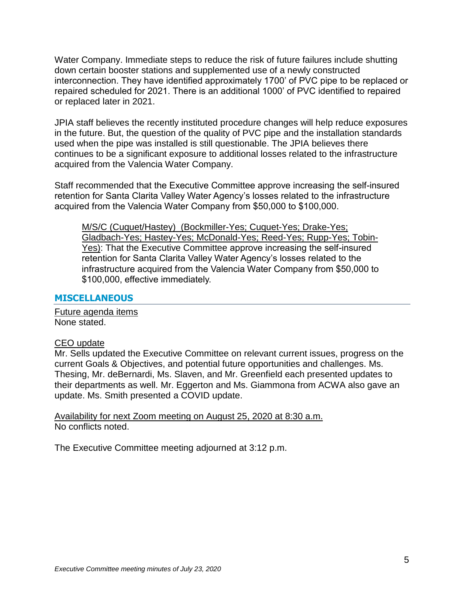Water Company. Immediate steps to reduce the risk of future failures include shutting down certain booster stations and supplemented use of a newly constructed interconnection. They have identified approximately 1700' of PVC pipe to be replaced or repaired scheduled for 2021. There is an additional 1000' of PVC identified to repaired or replaced later in 2021.

JPIA staff believes the recently instituted procedure changes will help reduce exposures in the future. But, the question of the quality of PVC pipe and the installation standards used when the pipe was installed is still questionable. The JPIA believes there continues to be a significant exposure to additional losses related to the infrastructure acquired from the Valencia Water Company.

Staff recommended that the Executive Committee approve increasing the self-insured retention for Santa Clarita Valley Water Agency's losses related to the infrastructure acquired from the Valencia Water Company from \$50,000 to \$100,000.

M/S/C (Cuquet/Hastey) (Bockmiller-Yes; Cuquet-Yes; Drake-Yes; Gladbach-Yes; Hastey-Yes; McDonald-Yes; Reed-Yes; Rupp-Yes; Tobin-Yes): That the Executive Committee approve increasing the self-insured retention for Santa Clarita Valley Water Agency's losses related to the infrastructure acquired from the Valencia Water Company from \$50,000 to \$100,000, effective immediately.

## **MISCELLANEOUS**

Future agenda items None stated.

#### CEO update

Mr. Sells updated the Executive Committee on relevant current issues, progress on the current Goals & Objectives, and potential future opportunities and challenges. Ms. Thesing, Mr. deBernardi, Ms. Slaven, and Mr. Greenfield each presented updates to their departments as well. Mr. Eggerton and Ms. Giammona from ACWA also gave an update. Ms. Smith presented a COVID update.

Availability for next Zoom meeting on August 25, 2020 at 8:30 a.m. No conflicts noted.

The Executive Committee meeting adjourned at 3:12 p.m.